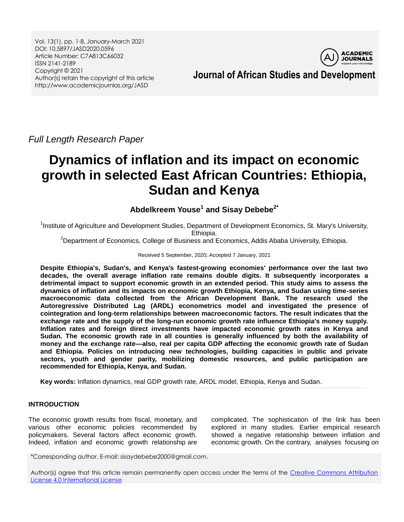Vol. 13(1), pp. 1-8, January-March 2021 DOI: 10.5897/JASD2020.0596 Article Number: C7A813C66032 ISSN 2141-2189 Copyright © 2021 Author(s) retain the copyright of this article http://www.academicjournlas.org/JASD



# **Journal of African Studies and Development**

*Full Length Research Paper*

# **Dynamics of inflation and its impact on economic growth in selected East African Countries: Ethiopia, Sudan and Kenya**

# **Abdelkreem Youse<sup>1</sup> and Sisay Debebe2\***

<sup>1</sup>Institute of Agriculture and Development Studies, Department of Development Economics, St. Mary's University, Ethiopia.

<sup>2</sup>Department of Economics, College of Business and Economics, Addis Ababa University, Ethiopia.

## Received 5 September, 2020; Accepted 7 January, 2021

**Despite Ethiopia's, Sudan's, and Kenya's fastest-growing economies' performance over the last two decades, the overall average inflation rate remains double digits. It subsequently incorporates a detrimental impact to support economic growth in an extended period. This study aims to assess the dynamics of inflation and its impacts on economic growth Ethiopia, Kenya, and Sudan using time-series macroeconomic data collected from the African Development Bank. The research used the Autoregressive Distributed Lag (ARDL) econometrics model and investigated the presence of cointegration and long-term relationships between macroeconomic factors. The result indicates that the exchange rate and the supply of the long-run economic growth rate influence Ethiopia's money supply. Inflation rates and foreign direct investments have impacted economic growth rates in Kenya and Sudan. The economic growth rate in all counties is generally influenced by both the availability of money and the exchange rate—also, real per capita GDP affecting the economic growth rate of Sudan and Ethiopia. Policies on introducing new technologies, building capacities in public and private sectors, youth and gender parity, mobilizing domestic resources, and public participation are recommended for Ethiopia, Kenya, and Sudan.**

**Key words:** Inflation dynamics, real GDP growth rate, ARDL model, Ethiopia, Kenya and Sudan.

# **INTRODUCTION**

The economic growth results from fiscal, monetary, and various other economic policies recommended by policymakers. Several factors affect economic growth. Indeed, inflation and economic growth relationship are complicated. The sophistication of the link has been explored in many studies. Earlier empirical research showed a negative relationship between inflation and economic growth. On the contrary, analyses focusing on

\*Corresponding author. E-mail: sisaydebebe2000@gmail.com.

Author(s) agree that this article remain permanently open access under the terms of the Creative Commons Attribution [License 4.0 International License](http://creativecommons.org/licenses/by/4.0/deed.en_US)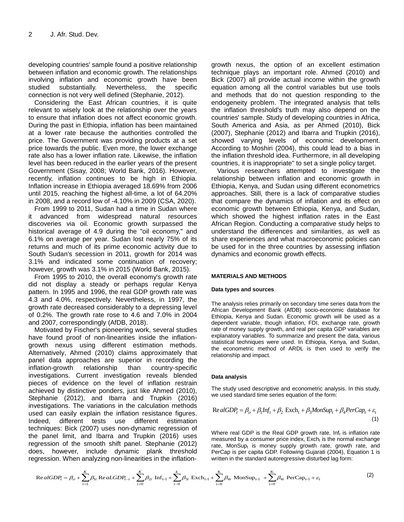developing countries' sample found a positive relationship between inflation and economic growth. The relationships involving inflation and economic growth have been studied substantially. Nevertheless, the specific connection is not very well defined (Stephanie, 2012).

Considering the East African countries, it is quite relevant to wisely look at the relationship over the years to ensure that inflation does not affect economic growth. During the past in Ethiopia, inflation has been maintained at a lower rate because the authorities controlled the price. The Government was providing products at a set price towards the public. Even more, the lower exchange rate also has a lower inflation rate. Likewise, the inflation level has been reduced in the earlier years of the present Government (Sisay, 2008; World Bank, 2016). However, recently, inflation continues to be high in Ethiopia. Inflation increase in Ethiopia averaged 18.69% from 2006 until 2015, reaching the highest all-time, a lot of 64.20% in 2008, and a record low of -4.10% in 2009 (CSA, 2020).

From 1999 to 2011, Sudan had a time in Sudan where it advanced from widespread natural resources discoveries via oil. Economic growth surpassed the historical average of 4.9 during the "oil economy," and 6.1% on average per year. Sudan lost nearly 75% of its returns and much of its prime economic activity due to South Sudan's secession in 2011, growth for 2014 was 3.1% and indicated some continuation of recovery; however, growth was 3.1% in 2015 (World Bank, 2015).

From 1995 to 2010, the overall economy's growth rate did not display a steady or perhaps regular Kenya pattern. In 1995 and 1996, the real GDP growth rate was 4.3 and 4.0%, respectively. Nevertheless, in 1997, the growth rate decreased considerably to a depressing level of 0.2%. The growth rate rose to 4.6 and 7.0% in 2004 and 2007, correspondingly (AfDB, 2018).

Motivated by Fischer's pioneering work, several studies have found proof of non-linearities inside the inflationgrowth nexus using different estimation methods. Alternatively, Ahmed (2010) claims approximately that panel data approaches are superior in recording the inflation-growth relationship than country-specific investigations. Current investigation reveals blended pieces of evidence on the level of inflation restrain achieved by distinctive ponders, just like Ahmed (2010), Stephanie (2012), and Ibarra and Trupkin (2016) investigations. The variations in the calculation methods used can easily explain the inflation resistance figures. Indeed, different tests use different estimation techniques: Bick (2007) uses non-dynamic regression of the panel limit, and Ibarra and Trupkin (2016) uses regression of the smooth shift panel. Stephanie (2012) does, however, include dynamic plank threshold regression. When analyzing non-linearities in the inflationinclude dynamic plank thr<br>analyzing non-linearities in the inf<br> $\sum_{k=1}^{K} B_k$ . Re*al GDP* : +  $\sum_{k=1}^{K} B_k$ . Inf. : +  $\sum_{k=1}^{K} B_k$ illetent tests use diletent estimation<br>
Bick (2007) uses non-dynamic regression of<br>
imit, and Ibarra and Trupkin (2016) uses<br>
of the smooth shift panel. Stephanie (2012)<br>
ever, include dynamic plank threshold<br>
ever, inclu

growth nexus, the option of an excellent estimation technique plays an important role. Ahmed (2010) and Bick (2007) all provide actual income within the growth equation among all the control variables but use tools and methods that do not question responding to the endogeneity problem. The integrated analysis that tells the inflation threshold's truth may also depend on the countries' sample. Study of developing countries in Africa, South America and Asia, as per Ahmed (2010), Bick (2007), Stephanie (2012) and Ibarra and Trupkin (2016), showed varying levels of economic development. According to Moshiri (2004), this could lead to a bias in the inflation threshold idea. Furthermore, in all developing countries, it is inappropriate" to set a single policy target.

Various researchers attempted to investigate the relationship between inflation and economic growth in Ethiopia, Kenya, and Sudan using different econometrics approaches. Still, there is a lack of comparative studies that compare the dynamics of inflation and its effect on economic growth between Ethiopia, Kenya, and Sudan, which showed the highest inflation rates in the East African Region. Conducting a comparative study helps to understand the differences and similarities, as well as share experiences and what macroeconomic policies can be used for in the three countries by assessing inflation dynamics and economic growth effects.

#### **MATERIALS AND METHODS**

#### **Data types and sources**

The analysis relies primarily on secondary time series data from the African Development Bank (AfDB) socio-economic database for Ethiopia, Kenya and Sudan. Economic growth will be used as a dependent variable, though inflation, FDI, exchange rate, growth rate of money supply growth, and real per capita GDP variables are explanatory variables. To summarize and present the data, various statistical techniques were used. In Ethiopia, Kenya, and Sudan, the econometric method of ARDL is then used to verify the relationship and impact*.*

#### **Data analysis**

The study used descriptive and econometric analysis. In this study,

we used standard time series equation of the form:  
\n
$$
RealGDP_t = \beta_o + \beta_1 Inf_t + \beta_2 Exch_t + \beta_3 MonSup_t + \beta_4 PerCap_t + \varepsilon_t
$$
\n(1)

Where real GDP is the Real GDP growth rate,  $Inf_t$  is inflation rate measured by a consumer price index,  $Exch<sub>t</sub>$  is the normal exchange rate, MonSup $<sub>t</sub>$  is money supply growth rate, growth rate, and</sub> PerCap is per capita GDP. Following Gujarati (2004), Equation 1 is written in the standard autoregressive disturbed lag form: rCap is per capita GD<br>itten in the standard au<br> $\frac{K}{2}$   $\frac{K}{2}$   $\frac{K}{2}$   $\frac{K}{2}$   $\frac{K}{2}$ 

See, however, include dynamic plank threshold

\nRe 
$$
aIGDP_t = \beta_o + \sum_{i=1}^{K} \beta_{1i}
$$
 Re  $aLGDP_{t-i} + \sum_{i=0}^{K} \beta_{2i}$  Inf<sub>t-1</sub> +  $\sum_{i=0}^{K} \beta_{3i}$  Exch<sub>t-1</sub> +  $\sum_{i=0}^{K} \beta_{4i}$  MonSup<sub>t-1</sub> +  $\sum_{i=0}^{K} \beta_{4i}$  PerCap<sub>t-1</sub> +  $\epsilon$ , (2)

\n(2)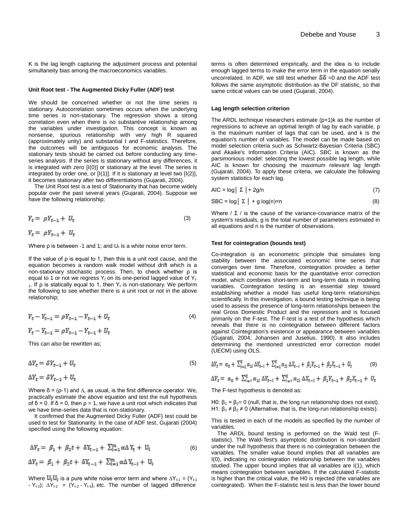K is the lag length capturing the adjustment process and potential simultaneity bias among the macroeconomics variables.

#### **Unit Root test - The Augmented Dicky Fuller (ADF) test**

We should be concerned whether or not the time series is stationary. Autocorrelation sometimes occurs when the underlying time series is non-stationary. The regression shows a strong correlation even when there is no substantive relationship among the variables under investigation. This concept is known as nonsense, spurious relationship with very high R squared (approximately unity) and substantial t and F-statistics. Therefore, the outcomes will be ambiguous for economic analysis. The stationary tests should be carried out before conducting any timeseries analysis. If the series is stationary without any differences, it is integrated with zero [I(0)] or stationary at the level. The series is integrated by order one, or  $[I(1)]$ . If it is stationary at level two  $[I(2)]$ , it becomes stationary after two differentiations (Gujarati, 2004).

The Unit Root test is a test of Stationarity that has become widely popular over the past several years (Gujarati, 2004). Suppose we have the following relationship;

$$
Y_t = \rho Y_{t-1} + U_t
$$
  
\n
$$
Y_t = \rho Y_{t-1} + U_t
$$
\n(3)

Where  $\rho$  is between -1 and 1; and  $U_t$  is a white noise error term.

If the value of ρ is equal to 1, then this is a unit root cause, and the equation becomes a random walk model without drift which is a non-stationary stochastic process. Then, to check whether ρ is equal to 1 or not we regress  $Y_t$  on its one-period lagged value of  $Y_t$ .  $_1$ . If  $\rho$  is statically equal to 1, then  $Y_t$  is non-stationary. We perform the following to see whether there is a unit root or not in the above relationship;

$$
Y_t - Y_{t-1} = \rho Y_{t-1} - Y_{t-1} + U_t
$$
\n(4)

$$
Y_t - Y_{t-1} = \rho Y_{t-1} - Y_{t-1} + U_t
$$

This can also be rewritten as;

$$
\Delta Y_t = \delta Y_{t-1} + U_t \tag{5}
$$

$$
\Delta Y_t = \delta Y_{t-1} + U_t
$$

Where  $\delta$  = ( $\rho$ -1) and  $\Delta$ , as usual, is the first difference operator. We, practically estimate the above equation and test the null hypothesis of  $\delta$  = 0. If  $\delta$  = 0, then  $\rho$  = 1, we have a unit root which indicates that we have time-series data that is non-stationary.

It confirmed that the Augmented Dicky Fuller (ADF) test could be used to test for Stationarity. In the case of ADF test, Gujarati (2004) specified using the following equation:

$$
\Delta Y_t = \beta_1 + \beta_2 t + \delta Y_{t-1} + \sum_{i=1}^{m} \alpha \Delta Y_t + U_i
$$
\n
$$
\Delta Y_t = \beta_1 + \beta_2 t + \delta Y_{t-1} + \sum_{i=1}^{m} \alpha \Delta Y_{t-i} + U_i
$$
\n(6)

Where  $\mathbf{U_i}\mathbf{U_i}$  is a pure white noise error term and where  $\Delta Y_{t-1} = (Y_{t-1})$  $-Y_{t-2}$ );  $\Delta Y_{t-2} = (Y_{t-2} - Y_{t-3})$ , etc. The number of lagged difference

terms is often determined empirically, and the idea is to include enough lagged terms to make the error term in the equation serially uncorrelated. In ADF, we still test whether  $\delta\delta$  =0 and the ADF test follows the same asymptotic distribution as the DF statistic, so that same critical values can be used (Gujarati, 2004).

#### **Lag length selection criterion**

The ARDL technique researchers estimate (p+1)k as the number of regressions to achieve an optimal length of lag by each variable, p is the maximum number of lags that can be used, and k is the equation's number of variables. The model can be made based on model selection criteria such as Schwartz-Bayesian Criteria (SBC) and Akaike's Information Criteria (AIC). SBC is known as the parsimonious model: selecting the lowest possible lag length, while AIC is known for choosing the maximum relevant lag length (Gujarati, 2004). To apply these criteria, we calculate the following system statistics for each lag.

$$
AIC = \log | \Sigma | + 2g/n
$$
 (7)

$$
SBC = \log |\Sigma| + g \log(n) = n \tag{8}
$$

Where  $/ \Sigma /$  is the cause of the variance-covariance matrix of the system's residuals, g is the total number of parameters estimated in all equations and n is the number of observations.

#### **Test for cointegration (bounds test)**

Co-integration is an econometric principle that simulates long stability between the associated economic time series that converges over time. Therefore, cointegration provides a better statistical and economic basis for the quantitative error correction model, which combines short-term and long-term data in modeling variables. Cointegration testing is an essential step toward establishing whether a model has useful long-term relationships scientifically. In this investigation, a bound testing technique is being used to assess the presence of long-term relationships between the real Gross Domestic Product and the repressors and is focused primarily on the F-test. The F-test is a test of the hypothesis which reveals that there is no cointegration between different factors against Cointegration's existence or appearance between variables (Gujarati, 2004; Johansen and Juselius, 1990). It also includes determining the mentioned unrestricted error correction model (UECM) using OLS.

$$
\Delta Y_t = \alpha_0 + \sum_{i=1}^q \alpha_{1i} \Delta Y_{t-i} + \sum_{i=1}^q \alpha_{2i} \Delta X_{t-i} + \beta_1 Y_{t-1} + \beta_2 X_{t-1} + U_t
$$
 (9)

$$
\Delta Y_t = \alpha_0 + \sum_{i=1}^q \alpha_{1i} \, \Delta Y_{t-i} + \sum_{i=1}^q \alpha_{2i} \, \Delta X_{t-i} + \beta_1 Y_{t-1} + \beta_2 X_{t-1} + U_t
$$

The F-test hypothesis is denoted as:

H0:  $β_1 = β_2 = 0$  (null, that is, the long run relationship does not exist). H1:  $β_1 \neq β_2 \neq 0$  (Alternative, that is, the long-run relationship exists).

This is tested in each of the models as specified by the number of variables.

The ARDL bound testing is performed on the Wald test (Fstatistic). The Wald-Test's asymptotic distribution is non-standard under the null hypothesis that there is no cointegration between the variables. The smaller value bound implies that all variables are I(0), indicating no cointegration relationship between the variables studied. The upper bound implies that all variables are I(1), which means cointegration between variables. If the calculated F-statistic is higher than the critical value, the H0 is rejected (the variables are cointegrated). When the F-statistic test is less than the lower bound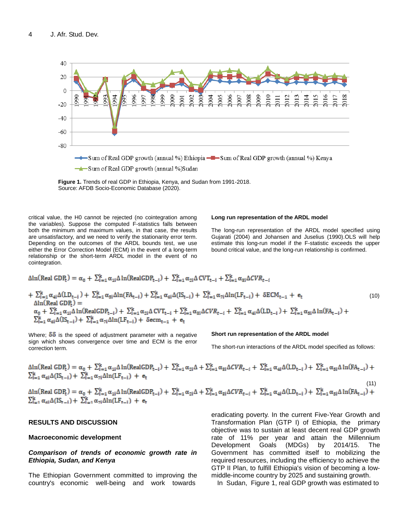

**Figure 1.** Trends of real GDP in Ethiopia, Kenya, and Sudan from 1991-2018. Source: AFDB Socio-Economic Database (2020).

critical value, the H0 cannot be rejected (no cointegration among the variables). Suppose the computed F-statistics falls between both the minimum and maximum values, in that case, the results are unsatisfactory, and we need to verify the stationarity error term. Depending on the outcomes of the ARDL bounds test, we use either the Error Correction Model (ECM) in the event of a long-term relationship or the short-term ARDL model in the event of no cointegration.

#### **Long run representation of the ARDL model**

The long-run representation of the ARDL model specified using Gujarati (2004) and Johansen and Juselius (1990).OLS will help estimate this long-run model if the F-statistic exceeds the upper bound critical value, and the long-run relationship is confirmed.

$$
\Delta \ln(\text{Real GDP}_{t}) = \alpha_{0} + \sum_{i=1}^{k} \alpha_{1i} \Delta \ln(\text{Real GDP}_{t-i}) + \sum_{i=1}^{k} \alpha_{2i} \Delta \text{CVT}_{t-i} + \sum_{i=1}^{k} \alpha_{3i} \Delta \text{CVR}_{t-i} \n+ \sum_{i=1}^{k} \alpha_{4i} \Delta (\text{LD}_{t-i}) + \sum_{i=1}^{k} \alpha_{5i} \Delta \ln(\text{FA}_{t-i}) + \sum_{i=1}^{k} \alpha_{6i} \Delta (\text{IS}_{t-i}) + \sum_{i=1}^{k} \alpha_{7i} \Delta \ln(\text{LF}_{t-i}) + \delta \text{ECM}_{t-1} + e_{t} \n\Delta \ln(\text{Real GDP}_{t}) =\n\alpha_{0} + \sum_{i=1}^{k} \alpha_{1i} \Delta \ln(\text{Real GDP}_{t-i}) + \sum_{i=1}^{k} \alpha_{2i} \Delta \text{CVT}_{t-i} + \sum_{i=1}^{k} \alpha_{3i} \Delta \text{CVR}_{t-i} + \sum_{i=1}^{k} \alpha_{4i} \Delta (\text{LD}_{t-i}) + \sum_{i=1}^{k} \alpha_{5i} \Delta \ln(\text{FA}_{t-i}) + \sum_{i=1}^{k} \alpha_{5i} \Delta (\text{IS}_{t-i}) + \sum_{i=1}^{k} \alpha_{7i} \Delta \ln(\text{LF}_{t-i}) + \delta e_{cm_{t-1}} + e_{t}
$$
\n(10)

Where;  $\delta\delta$  is the speed of adjustment parameter with a negative sign which shows convergence over time and ECM is the error correction term.

#### **Short run representation of the ARDL model**

The short-run interactions of the ARDL model specified as follows:

$$
\Delta \ln(\text{Real GDP}_{t}) = \alpha_0 + \sum_{i=1}^{k} \alpha_{i1} \Delta \ln(\text{Real GDP}_{t-i}) + \sum_{i=1}^{k} \alpha_{2i} \Delta + \sum_{i=1}^{k} \alpha_{3i} \Delta CVR_{t-i} + \sum_{i=1}^{k} \alpha_{4i} \Delta (LD_{t-i}) + \sum_{i=1}^{k} \alpha_{5i} \Delta \ln(FA_{t-i}) + \sum_{i=1}^{k} \alpha_{5i} \Delta \ln(FA_{t-i}) + \sum_{i=1}^{k} \alpha_{6i} \Delta (IS_{t-i}) + \sum_{i=1}^{k} \alpha_{7i} \Delta \ln(LE_{t-i}) + \mathbf{e}_t
$$

(11)<br>Δln(Real GDP<sub>t</sub>) = α<sub>0</sub> + Σ<sup>k</sup><sub>1=1</sub>α<sub>1i</sub>Δln(RealGDP<sub>t-i</sub>) + Σ<sup>k</sup><sub>1=1</sub>α<sub>2i</sub>Δ + Σ<sup>k</sup><sub>1=1</sub>α<sub>3i</sub>ΔCVR<sub>t-i</sub> + Σ<sup>k</sup><sub>1=1</sub>α<sub>4i</sub>Δ(LD<sub>t-i</sub>) + Σ<sup>k</sup><sub>1=1</sub>α<sub>5i</sub>Δln(FA<sub>t-i</sub>) +  $\sum_{i=1}^{k} \alpha_{\kappa i} \Delta (IS_{t-i}) + \sum_{i=1}^{k} \alpha_{\gamma i} \Delta \ln(LF_{t-i}) + e_t$ 

#### **RESULTS AND DISCUSSION**

#### **Macroeconomic development**

# *Comparison of trends of economic growth rate in Ethiopia, Sudan, and Kenya*

The Ethiopian Government committed to improving the country's economic well-being and work towards

eradicating poverty. In the current Five-Year Growth and Transformation Plan (GTP I) of Ethiopia, the primary objective was to sustain at least decent real GDP growth rate of 11% per year and attain the Millennium Development Goals (MDGs) by 2014/15. The Government has committed itself to mobilizing the required resources, including the efficiency to achieve the GTP II Plan, to fulfill Ethiopia's vision of becoming a lowmiddle-income country by 2025 and sustaining growth.

In Sudan, Figure 1, real GDP growth was estimated to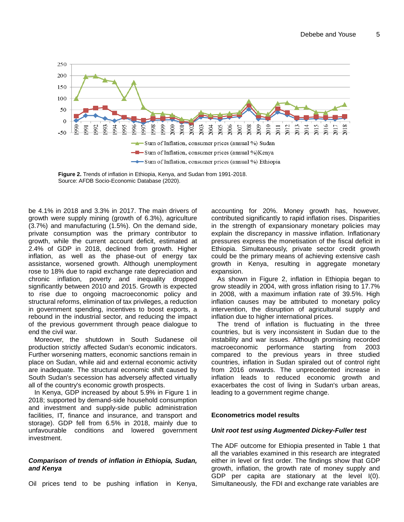

**Figure 2.** Trends of inflation in Ethiopia, Kenya, and Sudan from 1991-2018. Source: AFDB Socio-Economic Database (2020).

be 4.1% in 2018 and 3.3% in 2017. The main drivers of growth were supply mining (growth of 6.3%), agriculture (3.7%) and manufacturing (1.5%). On the demand side, private consumption was the primary contributor to growth, while the current account deficit, estimated at 2.4% of GDP in 2018, declined from growth. Higher inflation, as well as the phase-out of energy tax assistance, worsened growth. Although unemployment rose to 18% due to rapid exchange rate depreciation and chronic inflation, poverty and inequality dropped significantly between 2010 and 2015. Growth is expected to rise due to ongoing macroeconomic policy and structural reforms, elimination of tax privileges, a reduction in government spending, incentives to boost exports, a rebound in the industrial sector, and reducing the impact of the previous government through peace dialogue to end the civil war.

Moreover, the shutdown in South Sudanese oil production strictly affected Sudan's economic indicators. Further worsening matters, economic sanctions remain in place on Sudan, while aid and external economic activity are inadequate. The structural economic shift caused by South Sudan's secession has adversely affected virtually all of the country's economic growth prospects.

In Kenya, GDP increased by about 5.9% in Figure 1 in 2018; supported by demand-side household consumption and investment and supply-side public administration facilities, IT, finance and insurance, and transport and storage). GDP fell from 6.5% in 2018, mainly due to unfavourable conditions and lowered government investment.

# *Comparison of trends of inflation in Ethiopia, Sudan, and Kenya*

Oil prices tend to be pushing inflation in Kenya,

accounting for 20%. Money growth has, however, contributed significantly to rapid inflation rises. Disparities in the strength of expansionary monetary policies may explain the discrepancy in massive inflation. Inflationary pressures express the monetisation of the fiscal deficit in Ethiopia. Simultaneously, private sector credit growth could be the primary means of achieving extensive cash growth in Kenya, resulting in aggregate monetary expansion.

As shown in Figure 2, inflation in Ethiopia began to grow steadily in 2004, with gross inflation rising to 17.7% in 2008, with a maximum inflation rate of 39.5%. High inflation causes may be attributed to monetary policy intervention, the disruption of agricultural supply and inflation due to higher international prices.

The trend of inflation is fluctuating in the three countries, but is very inconsistent in Sudan due to the instability and war issues. Although promising recorded macroeconomic performance starting from 2003 compared to the previous years in three studied countries, inflation in Sudan spiraled out of control right from 2016 onwards. The unprecedented increase in inflation leads to reduced economic growth and exacerbates the cost of living in Sudan's urban areas, leading to a government regime change.

# **Econometrics model results**

# *Unit root test using Augmented Dickey-Fuller test*

The ADF outcome for Ethiopia presented in Table 1 that all the variables examined in this research are integrated either in level or first order. The findings show that GDP growth, inflation, the growth rate of money supply and GDP per capita are stationary at the level I(0). Simultaneously, the FDI and exchange rate variables are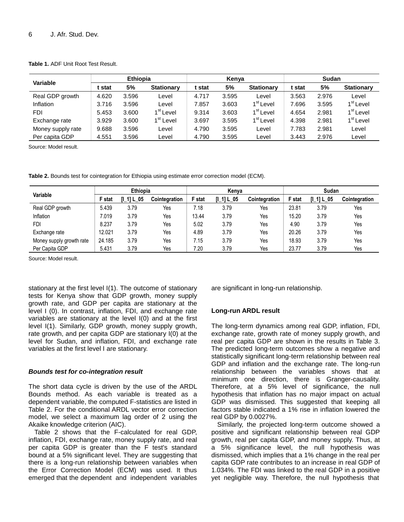#### **Table 1.** ADF Unit Root Test Result.

| Variable          | <b>Ethiopia</b> |       |                       | Kenya  |       |                       | <b>Sudan</b> |       |                       |
|-------------------|-----------------|-------|-----------------------|--------|-------|-----------------------|--------------|-------|-----------------------|
|                   | : stat          | 5%    | <b>Stationary</b>     | t stat | 5%    | <b>Stationary</b>     | t stat       | 5%    | <b>Stationary</b>     |
| Real GDP growth   | 4.620           | 3.596 | Level                 | 4.717  | 3.595 | Level                 | 3.563        | 2.976 | Level                 |
| Inflation         | 3.716           | 3.596 | Level                 | 7.857  | 3.603 | 1 <sup>st</sup> Level | 7.696        | 3.595 | 1 <sup>st</sup> Level |
| <b>FDI</b>        | 5.453           | 3.600 | 1 <sup>st</sup> Level | 9.314  | 3.603 | 1 <sup>st</sup> Level | 4.654        | 2.981 | 1 <sup>st</sup> Level |
| Exchange rate     | 3.929           | 3.600 | 1 <sup>st</sup> Level | 3.697  | 3.595 | 1 <sup>st</sup> Level | 4.398        | 2.981 | 1 <sup>st</sup> Level |
| Money supply rate | 9.688           | 3.596 | Level                 | 4.790  | 3.595 | Level                 | 7.783        | 2.981 | Level                 |
| Per capita GDP    | 4.551           | 3.596 | Level                 | 4.790  | 3.595 | Level                 | 3.443        | 2.976 | Level                 |

Source: Model result.

**Table 2.** Bounds test for cointegration for Ethiopia using estimate error correction model (ECM).

|                          | Ethiopia |                          |               | Kenya |              |               | <b>Sudan</b> |              |               |  |
|--------------------------|----------|--------------------------|---------------|-------|--------------|---------------|--------------|--------------|---------------|--|
| Variable                 | F stat   | $\left[1\right]$ 11 L 05 | Cointegration | stat  | $[1_1] L_05$ | Cointegration | F stat       | $[1_1] L_05$ | Cointegration |  |
| Real GDP growth          | 5.439    | 3.79                     | Yes           | 7.18  | 3.79         | Yes           | 23.81        | 3.79         | Yes           |  |
| Inflation                | 7.019    | 3.79                     | Yes           | 13.44 | 3.79         | Yes           | 15.20        | 3.79         | Yes           |  |
| <b>FDI</b>               | 8.237    | 3.79                     | Yes           | 5.02  | 3.79         | Yes           | 4.90         | 3.79         | Yes           |  |
| Exchange rate            | 12.021   | 3.79                     | Yes           | 4.89  | 3.79         | Yes           | 20.26        | 3.79         | Yes           |  |
| Money supply growth rate | 24.185   | 3.79                     | Yes           | 7.15  | 3.79         | Yes           | 18.93        | 3.79         | Yes           |  |
| Per Capita GDP           | 5.431    | 3.79                     | Yes           | 7.20  | 3.79         | Yes           | 23.77        | 3.79         | Yes           |  |

Source: Model result.

stationary at the first level I(1). The outcome of stationary tests for Kenya show that GDP growth, money supply growth rate, and GDP per capita are stationary at the level I (0). In contrast, inflation, FDI, and exchange rate variables are stationary at the level I(0) and at the first level I(1). Similarly, GDP growth, money supply growth, rate growth, and per capita GDP are stationary I(0) at the level for Sudan, and inflation, FDI, and exchange rate variables at the first level I are stationary.

# *Bounds test for co-integration result*

The short data cycle is driven by the use of the ARDL Bounds method. As each variable is treated as a dependent variable, the computed F-statistics are listed in Table 2. For the conditional ARDL vector error correction model, we select a maximum lag order of 2 using the Akaike knowledge criterion (AIC).

Table 2 shows that the F-calculated for real GDP, inflation, FDI, exchange rate, money supply rate, and real per capita GDP is greater than the F test's standard bound at a 5% significant level. They are suggesting that there is a long-run relationship between variables when the Error Correction Model (ECM) was used. It thus emerged that the dependent and independent variables are significant in long-run relationship.

### **Long-run ARDL result**

The long-term dynamics among real GDP, inflation, FDI, exchange rate, growth rate of money supply growth, and real per capita GDP are shown in the results in Table 3. The predicted long-term outcomes show a negative and statistically significant long-term relationship between real GDP and inflation and the exchange rate. The long-run relationship between the variables shows that at minimum one direction, there is Granger-causality. Therefore, at a 5% level of significance, the null hypothesis that inflation has no major impact on actual GDP was dismissed. This suggested that keeping all factors stable indicated a 1% rise in inflation lowered the real GDP by 0.0027%.

Similarly, the projected long-term outcome showed a positive and significant relationship between real GDP growth, real per capita GDP, and money supply. Thus, at a 5% significance level, the null hypothesis was dismissed, which implies that a 1% change in the real per capita GDP rate contributes to an increase in real GDP of 1.034%. The FDI was linked to the real GDP in a positive yet negligible way. Therefore, the null hypothesis that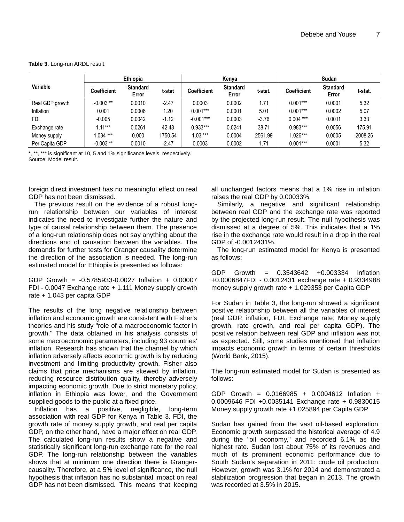**Table 3.** Long-run ARDL result.

|                 | Ethiopia    |                          |         | Kenya              |                          |         | Sudan              |                          |         |
|-----------------|-------------|--------------------------|---------|--------------------|--------------------------|---------|--------------------|--------------------------|---------|
| Variable        | Coefficient | <b>Standard</b><br>Error | t-stat  | <b>Coefficient</b> | <b>Standard</b><br>Error | t-stat. | <b>Coefficient</b> | <b>Standard</b><br>Error | t-stat. |
| Real GDP growth | $-0.003$ ** | 0.0010                   | $-2.47$ | 0.0003             | 0.0002                   | 1.71    | $0.001***$         | 0.0001                   | 5.32    |
| Inflation       | 0.001       | 0.0006                   | 1.20    | $0.001***$         | 0.0001                   | 5.01    | $0.001***$         | 0.0002                   | 5.07    |
| <b>FDI</b>      | $-0.005$    | 0.0042                   | $-1.12$ | $-0.001***$        | 0.0003                   | $-3.76$ | $0.004***$         | 0.0011                   | 3.33    |
| Exchange rate   | $1.11***$   | 0.0261                   | 42.48   | $0.933***$         | 0.0241                   | 38.71   | $0.983***$         | 0.0056                   | 175.91  |
| Money supply    | $0.034***$  | 0.000                    | 1750.54 | $1.03***$          | 0.0004                   | 2561.99 | $1.026***$         | 0.0005                   | 2008.26 |
| Per Capita GDP  | $-0.003$ ** | 0.0010                   | $-2.47$ | 0.0003             | 0.0002                   | 1.71    | $0.001***$         | 0.0001                   | 5.32    |

\*, \*\*, \*\*\* is significant at 10, 5 and 1% significance levels, respectively. Source: Model result.

foreign direct investment has no meaningful effect on real GDP has not been dismissed.

The previous result on the evidence of a robust longrun relationship between our variables of interest indicates the need to investigate further the nature and type of causal relationship between them. The presence of a long-run relationship does not say anything about the directions and of causation between the variables. The demands for further tests for Granger causality determine the direction of the association is needed. The long-run estimated model for Ethiopia is presented as follows:

GDP Growth = -0.5785933-0.0027 Inflation + 0.00007 FDI - 0.0047 Exchange rate + 1.111 Money supply growth rate + 1.043 per capita GDP

The results of the long negative relationship between inflation and economic growth are consistent with Fisher's theories and his study "role of a macroeconomic factor in growth." The data obtained in his analysis consists of some macroeconomic parameters, including 93 countries' inflation. Research has shown that the channel by which inflation adversely affects economic growth is by reducing investment and limiting productivity growth. Fisher also claims that price mechanisms are skewed by inflation, reducing resource distribution quality, thereby adversely impacting economic growth. Due to strict monetary policy, inflation in Ethiopia was lower, and the Government supplied goods to the public at a fixed price.

Inflation has a positive, negligible, long-term association with real GDP for Kenya in Table 3. FDI, the growth rate of money supply growth, and real per capita GDP, on the other hand, have a major effect on real GDP. The calculated long-run results show a negative and statistically significant long-run exchange rate for the real GDP. The long-run relationship between the variables shows that at minimum one direction there is Grangercausality. Therefore, at a 5% level of significance, the null hypothesis that inflation has no substantial impact on real GDP has not been dismissed. This means that keeping all unchanged factors means that a 1% rise in inflation raises the real GDP by 0.00033%.

Similarly, a negative and significant relationship between real GDP and the exchange rate was reported by the projected long-run result. The null hypothesis was dismissed at a degree of 5%. This indicates that a 1% rise in the exchange rate would result in a drop in the real GDP of -0.0012431%.

The long-run estimated model for Kenya is presented as follows:

GDP Growth = 0.3543642 +0.003334 inflation +0.0006847FDI - 0.0012431 exchange rate + 0.9334988 money supply growth rate + 1.029353 per Capita GDP

For Sudan in Table 3, the long-run showed a significant positive relationship between all the variables of interest (real GDP, inflation, FDI, Exchange rate, Money supply growth, rate growth, and real per capita GDP). The positive relation between real GDP and inflation was not as expected. Still, some studies mentioned that inflation impacts economic growth in terms of certain thresholds (World Bank, 2015).

The long-run estimated model for Sudan is presented as follows:

GDP Growth = 0.0166985 + 0.0004612 Inflation + 0.0009646 FDI +0.0035141 Exchange rate + 0.9830015 Money supply growth rate +1.025894 per Capita GDP

Sudan has gained from the vast oil-based exploration. Economic growth surpassed the historical average of 4.9 during the "oil economy," and recorded 6.1% as the highest rate. Sudan lost about 75% of its revenues and much of its prominent economic performance due to South Sudan's separation in 2011: crude oil production. However, growth was 3.1% for 2014 and demonstrated a stabilization progression that began in 2013. The growth was recorded at 3.5% in 2015.